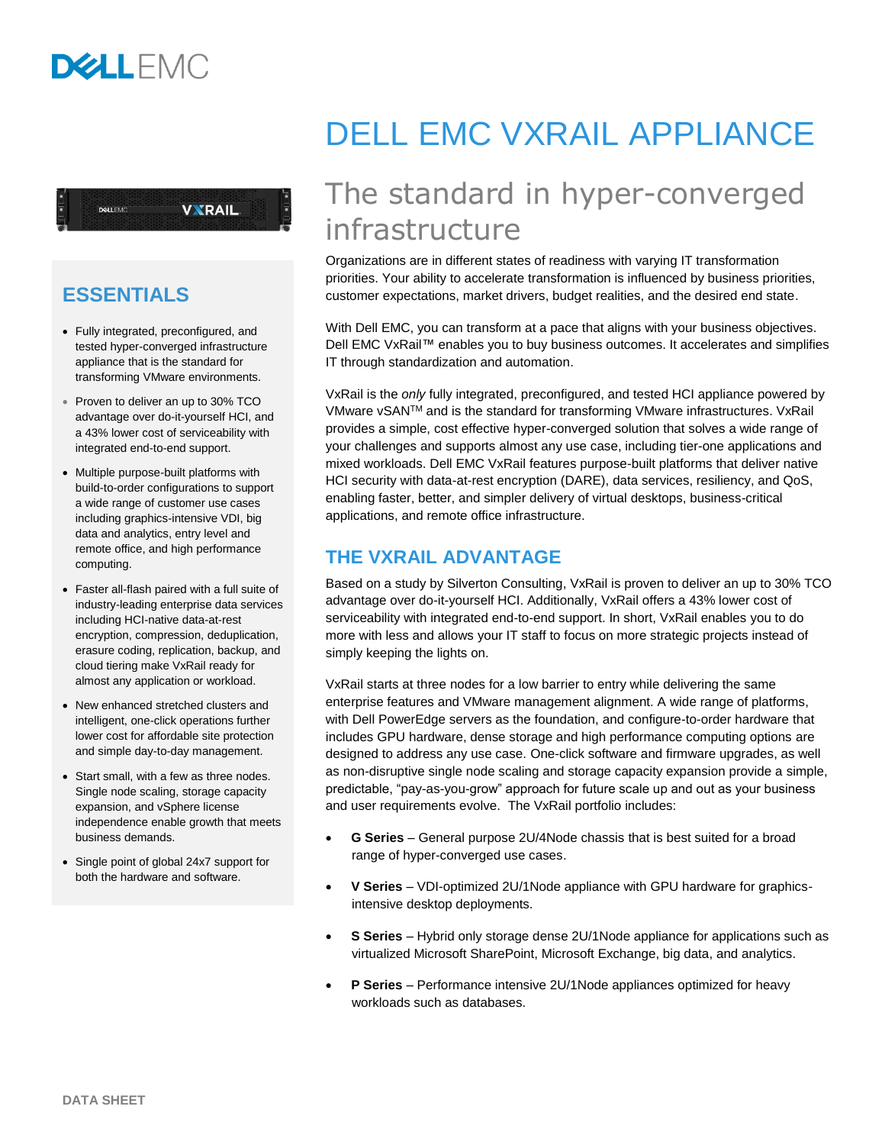**VXRAIL** 

# **ESSENTIALS**

DELLEMO

- Fully integrated, preconfigured, and tested hyper-converged infrastructure appliance that is the standard for transforming VMware environments.
- Proven to deliver an up to 30% TCO advantage over do-it-yourself HCI, and a 43% lower cost of serviceability with integrated end-to-end support.
- Multiple purpose-built platforms with build-to-order configurations to support a wide range of customer use cases including graphics-intensive VDI, big data and analytics, entry level and remote office, and high performance computing.
- Faster all-flash paired with a full suite of industry-leading enterprise data services including HCI-native data-at-rest encryption, compression, deduplication, erasure coding, replication, backup, and cloud tiering make VxRail ready for almost any application or workload.
- New enhanced stretched clusters and intelligent, one-click operations further lower cost for affordable site protection and simple day-to-day management.
- Start small, with a few as three nodes. Single node scaling, storage capacity expansion, and vSphere license independence enable growth that meets business demands.
- Single point of global 24x7 support for both the hardware and software.

# DELL EMC VXRAIL APPLIANCE

# The standard in hyper-converged infrastructure

Organizations are in different states of readiness with varying IT transformation priorities. Your ability to accelerate transformation is influenced by business priorities, customer expectations, market drivers, budget realities, and the desired end state.

With Dell EMC, you can transform at a pace that aligns with your business objectives. Dell EMC VxRail™ enables you to buy business outcomes. It accelerates and simplifies IT through standardization and automation.

VxRail is the *only* fully integrated, preconfigured, and tested HCI appliance powered by VMware vSANTM and is the standard for transforming VMware infrastructures. VxRail provides a simple, cost effective hyper-converged solution that solves a wide range of your challenges and supports almost any use case, including tier-one applications and mixed workloads. Dell EMC VxRail features purpose-built platforms that deliver native HCI security with data-at-rest encryption (DARE), data services, resiliency, and QoS, enabling faster, better, and simpler delivery of virtual desktops, business-critical applications, and remote office infrastructure.

# **THE VXRAIL ADVANTAGE**

Based on a study by Silverton Consulting, VxRail is proven to deliver an up to 30% TCO advantage over do-it-yourself HCI. Additionally, VxRail offers a 43% lower cost of serviceability with integrated end-to-end support. In short, VxRail enables you to do more with less and allows your IT staff to focus on more strategic projects instead of simply keeping the lights on.

VxRail starts at three nodes for a low barrier to entry while delivering the same enterprise features and VMware management alignment. A wide range of platforms, with Dell PowerEdge servers as the foundation, and configure-to-order hardware that includes GPU hardware, dense storage and high performance computing options are designed to address any use case. One-click software and firmware upgrades, as well as non-disruptive single node scaling and storage capacity expansion provide a simple, predictable, "pay-as-you-grow" approach for future scale up and out as your business and user requirements evolve. The VxRail portfolio includes:

- **G Series** General purpose 2U/4Node chassis that is best suited for a broad range of hyper-converged use cases.
- **V Series** VDI-optimized 2U/1Node appliance with GPU hardware for graphicsintensive desktop deployments.
- **S Series** Hybrid only storage dense 2U/1Node appliance for applications such as virtualized Microsoft SharePoint, Microsoft Exchange, big data, and analytics.
- **P Series** Performance intensive 2U/1Node appliances optimized for heavy workloads such as databases.